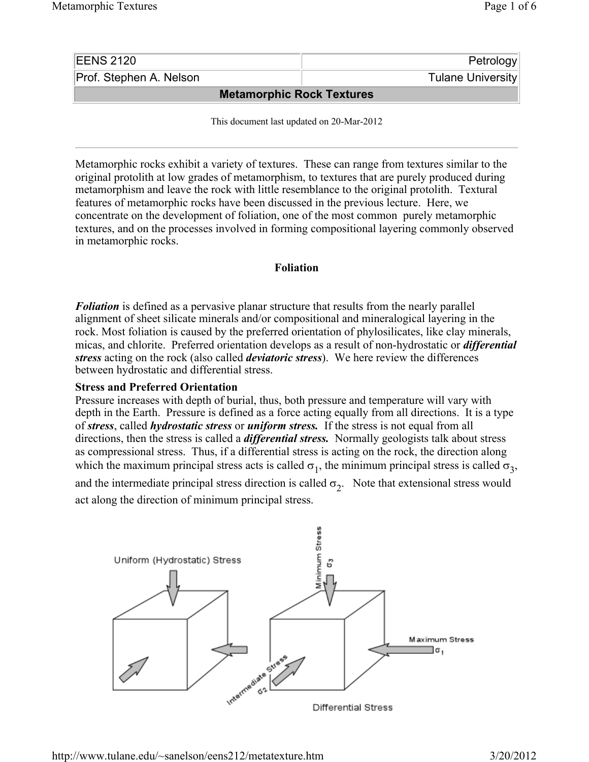| <b>EENS 2120</b>                 | Petrology         |
|----------------------------------|-------------------|
| Prof. Stephen A. Nelson          | Tulane University |
| <b>Metamorphic Rock Textures</b> |                   |

This document last updated on 20-Mar-2012

Metamorphic rocks exhibit a variety of textures. These can range from textures similar to the original protolith at low grades of metamorphism, to textures that are purely produced during metamorphism and leave the rock with little resemblance to the original protolith. Textural features of metamorphic rocks have been discussed in the previous lecture. Here, we concentrate on the development of foliation, one of the most common purely metamorphic textures, and on the processes involved in forming compositional layering commonly observed in metamorphic rocks.

#### **Foliation**

*Foliation* is defined as a pervasive planar structure that results from the nearly parallel alignment of sheet silicate minerals and/or compositional and mineralogical layering in the rock. Most foliation is caused by the preferred orientation of phylosilicates, like clay minerals, micas, and chlorite. Preferred orientation develops as a result of non-hydrostatic or *differential stress* acting on the rock (also called *deviatoric stress*). We here review the differences between hydrostatic and differential stress.

### **Stress and Preferred Orientation**

Pressure increases with depth of burial, thus, both pressure and temperature will vary with depth in the Earth. Pressure is defined as a force acting equally from all directions. It is a type of *stress*, called *hydrostatic stress* or *uniform stress.* If the stress is not equal from all directions, then the stress is called a *differential stress.* Normally geologists talk about stress as compressional stress. Thus, if a differential stress is acting on the rock, the direction along which the maximum principal stress acts is called  $\sigma_1$ , the minimum principal stress is called  $\sigma_3$ ,

and the intermediate principal stress direction is called  $\sigma_2$ . Note that extensional stress would act along the direction of minimum principal stress.

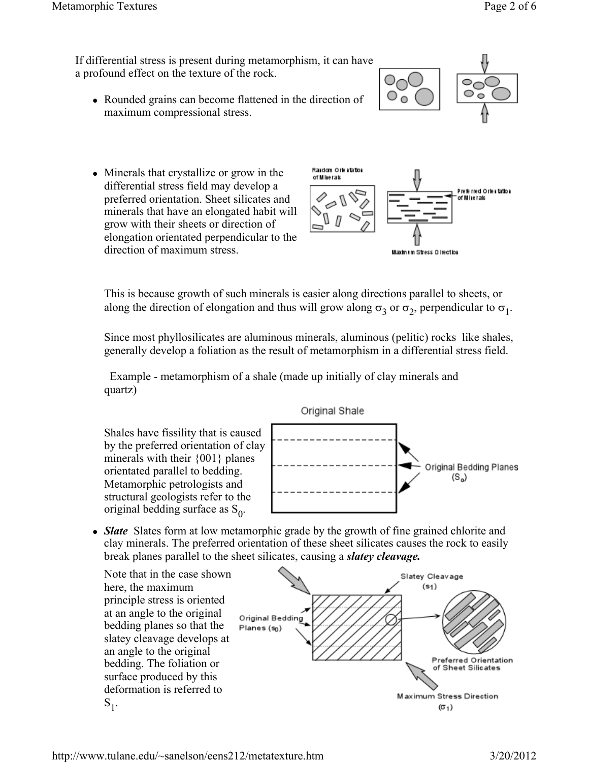ಂ

If differential stress is present during metamorphism, it can have a profound effect on the texture of the rock.

• Rounded grains can become flattened in the direction of maximum compressional stress.





This is because growth of such minerals is easier along directions parallel to sheets, or along the direction of elongation and thus will grow along  $\sigma_3$  or  $\sigma_2$ , perpendicular to  $\sigma_1$ .

Since most phyllosilicates are aluminous minerals, aluminous (pelitic) rocks like shales, generally develop a foliation as the result of metamorphism in a differential stress field.

 Example - metamorphism of a shale (made up initially of clay minerals and quartz)

Shales have fissility that is caused by the preferred orientation of clay minerals with their {001} planes orientated parallel to bedding. Metamorphic petrologists and structural geologists refer to the original bedding surface as  $S_0$ .



• *Slate* Slates form at low metamorphic grade by the growth of fine grained chlorite and clay minerals. The preferred orientation of these sheet silicates causes the rock to easily break planes parallel to the sheet silicates, causing a *slatey cleavage.*

Note that in the case shown here, the maximum principle stress is oriented at an angle to the original bedding planes so that the slatey cleavage develops at an angle to the original bedding. The foliation or surface produced by this deformation is referred to  $S_1$ .



# http://www.tulane.edu/~sanelson/eens212/metatexture.htm 3/20/2012

### Original Shale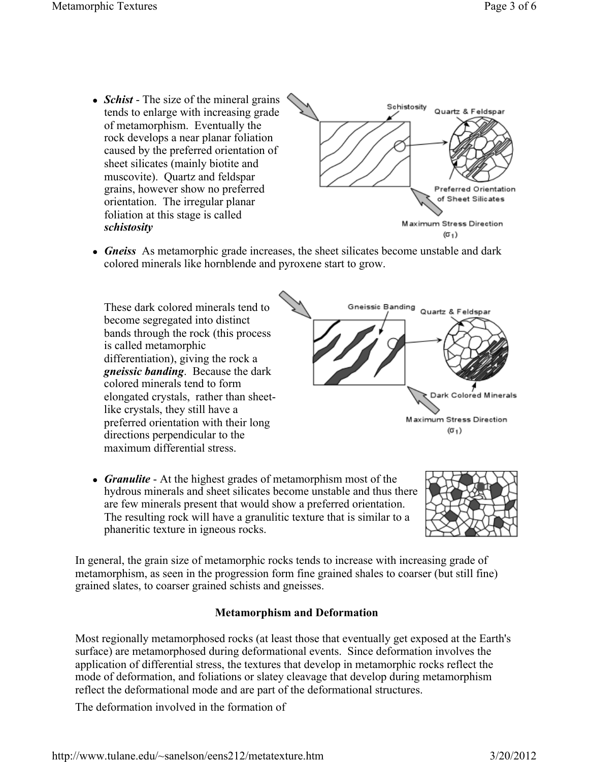• *Schist* - The size of the mineral grains tends to enlarge with increasing grade of metamorphism. Eventually the rock develops a near planar foliation caused by the preferred orientation of sheet silicates (mainly biotite and muscovite). Quartz and feldspar grains, however show no preferred orientation. The irregular planar foliation at this stage is called *schistosity*



• *Gneiss* As metamorphic grade increases, the sheet silicates become unstable and dark colored minerals like hornblende and pyroxene start to grow.

These dark colored minerals tend to become segregated into distinct bands through the rock (this process is called metamorphic differentiation), giving the rock a *gneissic banding*. Because the dark colored minerals tend to form elongated crystals, rather than sheetlike crystals, they still have a preferred orientation with their long directions perpendicular to the maximum differential stress.



• *Granulite* - At the highest grades of metamorphism most of the hydrous minerals and sheet silicates become unstable and thus there are few minerals present that would show a preferred orientation. The resulting rock will have a granulitic texture that is similar to a phaneritic texture in igneous rocks.



In general, the grain size of metamorphic rocks tends to increase with increasing grade of metamorphism, as seen in the progression form fine grained shales to coarser (but still fine) grained slates, to coarser grained schists and gneisses.

### **Metamorphism and Deformation**

Most regionally metamorphosed rocks (at least those that eventually get exposed at the Earth's surface) are metamorphosed during deformational events. Since deformation involves the application of differential stress, the textures that develop in metamorphic rocks reflect the mode of deformation, and foliations or slatey cleavage that develop during metamorphism reflect the deformational mode and are part of the deformational structures.

The deformation involved in the formation of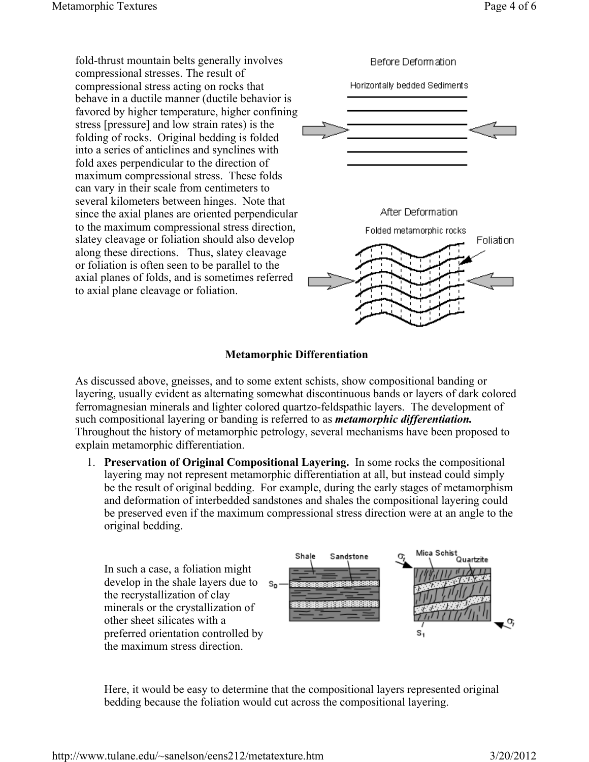fold-thrust mountain belts generally involves Before Deformation compressional stresses. The result of compressional stress acting on rocks that Horizontally bedded Sediments behave in a ductile manner (ductile behavior is favored by higher temperature, higher confining stress [pressure] and low strain rates) is the folding of rocks. Original bedding is folded into a series of anticlines and synclines with fold axes perpendicular to the direction of maximum compressional stress. These folds can vary in their scale from centimeters to several kilometers between hinges. Note that After Deformation since the axial planes are oriented perpendicular to the maximum compressional stress direction, Folded metamorphic rocks slatey cleavage or foliation should also develop Foliation along these directions. Thus, slatey cleavage or foliation is often seen to be parallel to the axial planes of folds, and is sometimes referred to axial plane cleavage or foliation.

## **Metamorphic Differentiation**

As discussed above, gneisses, and to some extent schists, show compositional banding or layering, usually evident as alternating somewhat discontinuous bands or layers of dark colored ferromagnesian minerals and lighter colored quartzo-feldspathic layers. The development of such compositional layering or banding is referred to as *metamorphic differentiation.*  Throughout the history of metamorphic petrology, several mechanisms have been proposed to explain metamorphic differentiation.

1. **Preservation of Original Compositional Layering.** In some rocks the compositional layering may not represent metamorphic differentiation at all, but instead could simply be the result of original bedding. For example, during the early stages of metamorphism and deformation of interbedded sandstones and shales the compositional layering could be preserved even if the maximum compressional stress direction were at an angle to the original bedding.



Here, it would be easy to determine that the compositional layers represented original bedding because the foliation would cut across the compositional layering.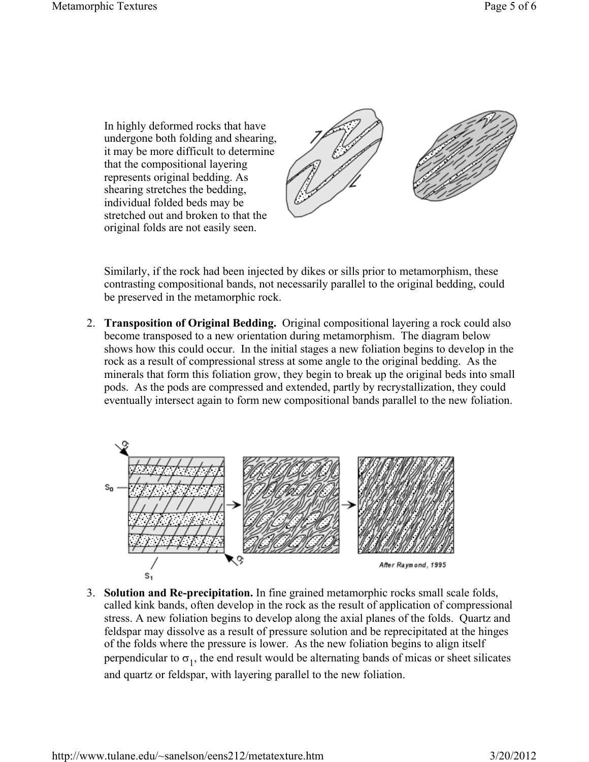In highly deformed rocks that have undergone both folding and shearing, it may be more difficult to determine that the compositional layering represents original bedding. As shearing stretches the bedding, individual folded beds may be stretched out and broken to that the original folds are not easily seen.



Similarly, if the rock had been injected by dikes or sills prior to metamorphism, these contrasting compositional bands, not necessarily parallel to the original bedding, could be preserved in the metamorphic rock.

2. **Transposition of Original Bedding.** Original compositional layering a rock could also become transposed to a new orientation during metamorphism. The diagram below shows how this could occur. In the initial stages a new foliation begins to develop in the rock as a result of compressional stress at some angle to the original bedding. As the minerals that form this foliation grow, they begin to break up the original beds into small pods. As the pods are compressed and extended, partly by recrystallization, they could eventually intersect again to form new compositional bands parallel to the new foliation.



3. **Solution and Re-precipitation.** In fine grained metamorphic rocks small scale folds, called kink bands, often develop in the rock as the result of application of compressional stress. A new foliation begins to develop along the axial planes of the folds. Quartz and feldspar may dissolve as a result of pressure solution and be reprecipitated at the hinges of the folds where the pressure is lower. As the new foliation begins to align itself perpendicular to  $\sigma_1$ , the end result would be alternating bands of micas or sheet silicates and quartz or feldspar, with layering parallel to the new foliation.